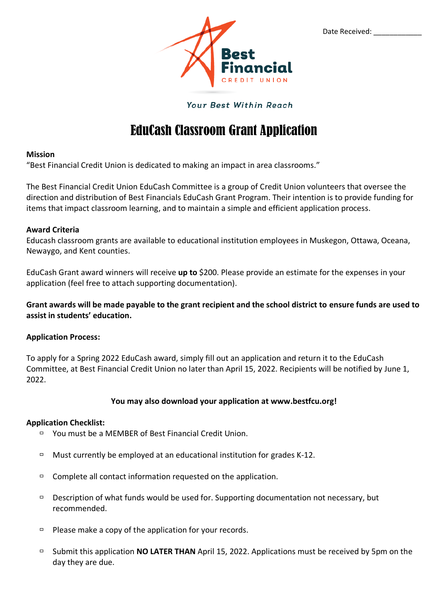

Date Received:

#### Your Best Within Reach

## EduCash Classroom Grant Application

#### **Mission**

"Best Financial Credit Union is dedicated to making an impact in area classrooms."

The Best Financial Credit Union EduCash Committee is a group of Credit Union volunteers that oversee the direction and distribution of Best Financials EduCash Grant Program. Their intention is to provide funding for items that impact classroom learning, and to maintain a simple and efficient application process.

#### **Award Criteria**

Educash classroom grants are available to educational institution employees in Muskegon, Ottawa, Oceana, Newaygo, and Kent counties.

EduCash Grant award winners will receive **up to** \$200. Please provide an estimate for the expenses in your application (feel free to attach supporting documentation).

**Grant awards will be made payable to the grant recipient and the school district to ensure funds are used to assist in students' education.**

#### **Application Process:**

To apply for a Spring 2022 EduCash award, simply fill out an application and return it to the EduCash Committee, at Best Financial Credit Union no later than April 15, 2022. Recipients will be notified by June 1, 2022.

#### **You may also download your application at www.bestfcu.org!**

#### **Application Checklist:**

- □ You must be a MEMBER of Best Financial Credit Union.
- $\Box$  Must currently be employed at an educational institution for grades K-12.
- $\Box$  Complete all contact information requested on the application.
- $\Box$  Description of what funds would be used for. Supporting documentation not necessary, but recommended.
- $\Box$  Please make a copy of the application for your records.
- Submit this application **NO LATER THAN** April 15, 2022. Applications must be received by 5pm on the day they are due.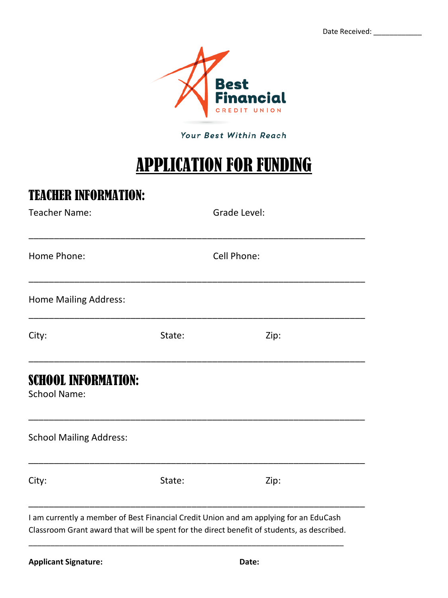Date Received:



Your Best Within Reach

# APPLICATION FOR FUNDING

### TEACHER INFORMATION:

| Teacher Name:                                     |        | Grade Level:                                                                          |
|---------------------------------------------------|--------|---------------------------------------------------------------------------------------|
| Home Phone:                                       |        | Cell Phone:                                                                           |
| <b>Home Mailing Address:</b>                      |        |                                                                                       |
| City:                                             | State: | Zip:                                                                                  |
| <b>SCHOOL INFORMATION:</b><br><b>School Name:</b> |        |                                                                                       |
| <b>School Mailing Address:</b>                    |        |                                                                                       |
| City:                                             | State: | Zip:                                                                                  |
|                                                   |        | I am currently a member of Best Financial Credit Union and am applying for an EduCash |

ram can ching a member or best manned, create onlors and an apprying for an exacted.<br>Classroom Grant award that will be spent for the direct benefit of students, as described.

\_\_\_\_\_\_\_\_\_\_\_\_\_\_\_\_\_\_\_\_\_\_\_\_\_\_\_\_\_\_\_\_\_\_\_\_\_\_\_\_\_\_\_\_\_\_\_\_\_\_\_\_\_\_\_\_\_\_\_\_\_\_\_\_\_\_\_\_\_\_\_\_

\_\_\_\_\_\_\_\_\_\_\_\_\_\_\_\_\_\_\_\_\_\_\_\_\_\_\_\_\_\_\_\_\_\_\_\_\_\_\_\_\_\_\_\_\_\_\_\_\_\_\_\_\_\_\_\_\_\_\_\_\_\_\_\_\_\_\_\_\_\_\_\_\_\_\_\_\_\_\_\_\_\_\_\_